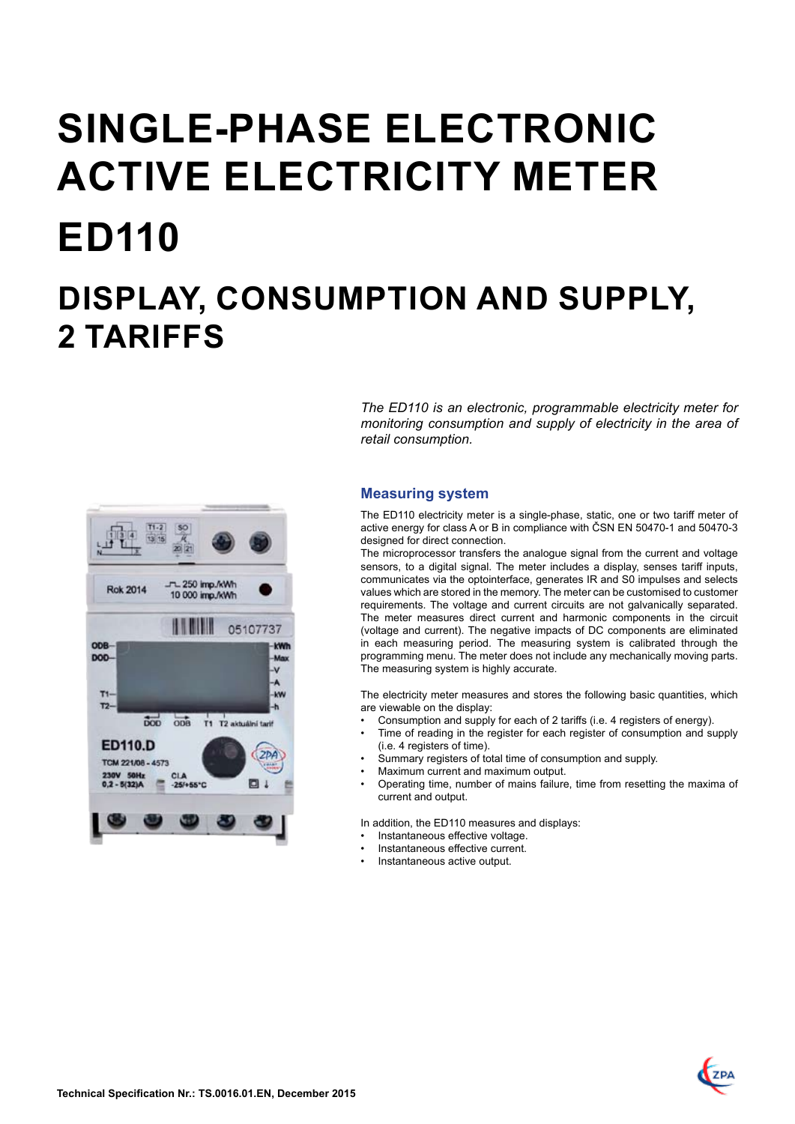# **SINGLE-PHASE electronic ACTIVE ELECTRICITY METER ED110 DISPLAY, CONSUMPTION AND SUPPLY, 2 TARIFFS**



*The ED110 is an electronic, programmable electricity meter for monitoring consumption and supply of electricity in the area of retail consumption.* 

# **Measuring system**

The ED110 electricity meter is a single-phase, static, one or two tariff meter of active energy for class A or B in compliance with ČSN EN 50470-1 and 50470-3 designed for direct connection.

The microprocessor transfers the analogue signal from the current and voltage sensors, to a digital signal. The meter includes a display, senses tariff inputs, communicates via the optointerface, generates IR and S0 impulses and selects values which are stored in the memory. The meter can be customised to customer requirements. The voltage and current circuits are not galvanically separated. The meter measures direct current and harmonic components in the circuit (voltage and current). The negative impacts of DC components are eliminated in each measuring period. The measuring system is calibrated through the programming menu. The meter does not include any mechanically moving parts. The measuring system is highly accurate.

The electricity meter measures and stores the following basic quantities, which are viewable on the display:

- Consumption and supply for each of 2 tariffs (i.e. 4 registers of energy).
- Time of reading in the register for each register of consumption and supply (i.e. 4 registers of time).
- Summary registers of total time of consumption and supply.
- Maximum current and maximum output.
- Operating time, number of mains failure, time from resetting the maxima of current and output.

In addition, the ED110 measures and displays:

- Instantaneous effective voltage.
- Instantaneous effective current.
- Instantaneous active output.

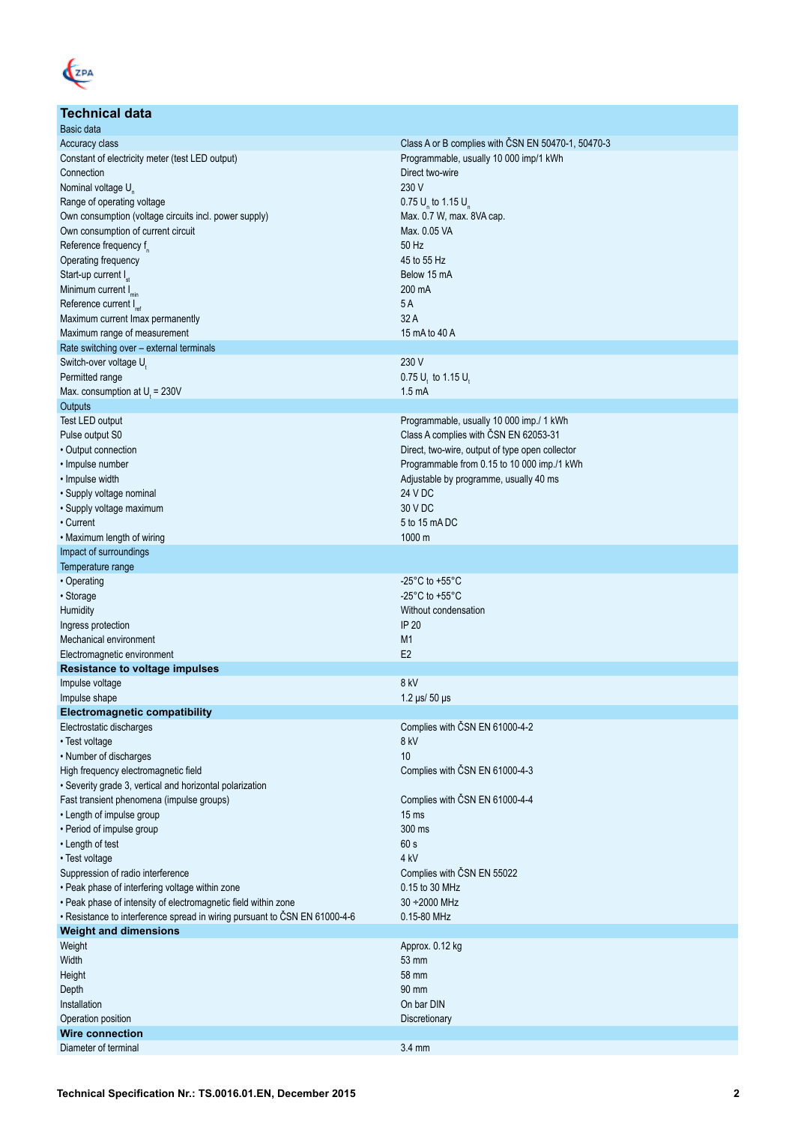

# **Technical data** Basic data<br>Accuracy class Class A or B complies with ČSN EN 50470-1, 50470-3 Constant of electricity meter (test LED output) Constant of electricity meter (test LED output) Programmable, usually 10 000 imp/1 kWh **Connection** Direct two-wire Nominal voltage U<sub>n</sub> 230 V Range of operating voltage values included by the supply of the control of the control of the COV of the COV of the COV of the COV of the COV of the COV of the COV of the COV of the COV of the COV of the COV of the COV of  $0.75 U_{1}$  to 1.15 U Own consumption (voltage circuits incl. power supply) Own consumption of current circuit and the consumption of current circuit Max. 0.05 VA<br>
Reference frequency f Reference frequency  $f_n$  50 Hz 00 Hz 00 Hz 00 Hz 00 Hz 00 Hz 00 Hz 00 Hz 00 Hz 00 Hz 00 Hz 00 Hz 00 Hz 00 Hz 00 Hz 00 Hz 00 Hz 00 Hz 00 Hz 00 Hz 00 Hz 00 Hz 00 Hz 00 Hz 00 Hz 00 Hz 00 Hz 00 Hz 00 Hz 00 Hz 00 Hz 00 Hz 00 H Operating frequency  $\overline{\phantom{a}}$   $\overline{\phantom{a}}$   $\overline{\phantom{a}}$   $\overline{\phantom{a}}$   $\overline{\phantom{a}}$   $\overline{\phantom{a}}$   $\overline{\phantom{a}}$   $\overline{\phantom{a}}$   $\overline{\phantom{a}}$   $\overline{\phantom{a}}$   $\overline{\phantom{a}}$   $\overline{\phantom{a}}$   $\overline{\phantom{a}}$   $\overline{\phantom{a}}$   $\overline{\phantom{a}}$   $\overline{\phantom{a}}$   $\overline{\phantom{a}}$ Start-up current I<sub>st</sub> Below 15 mA and the start-up current Ist Below 15 mA and the start-up current Ist Below 1<br>15 mA and the start-up current Ist Below 15 mA and the start-up current Ist Below 16 mA and the start-up curr  $\frac{1}{200}$  Minimum current  $\frac{1}{1}$  minimum current  $\frac{1}{2}$  minimum current  $\frac{1}{2}$  m Reference current I<sub>ref</sub> and Iref 5 A<br>Maximum current Imax permanently and Iref 5 A<br>32 A Maximum current Imax permanently Maximum range of measurement 15 mA to 40 A Rate switching over – external terminals Switch-over voltage U<sub>t</sub> 230 V Permitted range 0.75 U<sub>t</sub> 230V 0.75 U<sub>t</sub> 230V 0.75 U<sub>t</sub> 230V 0.75 U<sub>t</sub> 230V 0.75 U<sub>t</sub> 25 mA  $0.75$  U, to 1.15 U, Max. consumption at U<sub>t</sub> = 230V  $\blacksquare$ **Outputs** Test LED output Programmable, usually 10 000 imp./ 1 kWh Pulse output S0 Class A complies with ČSN EN 62053-31 • Output connection **Direct Live of the Connection** Direct, two-wire, output of type open collector • Impulse number Programmable from 0.15 to 10 000 imp./1 kWh • Impulse width Adjustable by programme, usually 40 ms • Supply voltage nominal 24 V DC • Supply voltage maximum 30 V DC • Current  $\sim$  5 to 15 mA DC • Maximum length of wiring 1000 m Impact of surroundings Temperature range • Operating -25°C to +55°C • Storage -25°C to +55°C **Humidity** Without condensation **Number of the Condensation Without condensation** Ingress protection **IP 20** Mechanical environment M1<br>
Electromagnetic environment<br>
F2 Electromagnetic environment **Resistance to voltage impulses**  Impulse voltage 8 kV Impulse shape 1.2 μs/ 50 μs **Electromagnetic compatibility**  Electrostatic discharges Complies with ČSN EN 61000-4-2 • Test voltage 8 kV • Number of discharges

| High frequency electromagnetic field                                       | Complies with CSN EN 61000-4-3 |
|----------------------------------------------------------------------------|--------------------------------|
| • Severity grade 3, vertical and horizontal polarization                   |                                |
| Fast transient phenomena (impulse groups)                                  | Complies with ČSN EN 61000-4-4 |
| • Length of impulse group                                                  | $15 \text{ ms}$                |
| • Period of impulse group                                                  | 300 ms                         |
| • Length of test                                                           | 60 s                           |
| • Test voltage                                                             | 4 <sub>kV</sub>                |
| Suppression of radio interference                                          | Complies with CSN EN 55022     |
| . Peak phase of interfering voltage within zone                            | 0.15 to 30 MHz                 |
| . Peak phase of intensity of electromagnetic field within zone             | $30 + 2000$ MHz                |
| • Resistance to interference spread in wiring pursuant to ČSN EN 61000-4-6 | 0.15-80 MHz                    |
| <b>Weight and dimensions</b>                                               |                                |
| Weight                                                                     | Approx. 0.12 kg                |
| Width                                                                      | 53 mm                          |
| Height                                                                     | 58 mm                          |
| Depth                                                                      | 90 mm                          |
| Installation                                                               | On bar DIN                     |
| Operation position                                                         | Discretionary                  |
| <b>Wire connection</b>                                                     |                                |
| Diameter of terminal                                                       | $3.4 \text{ mm}$               |
|                                                                            |                                |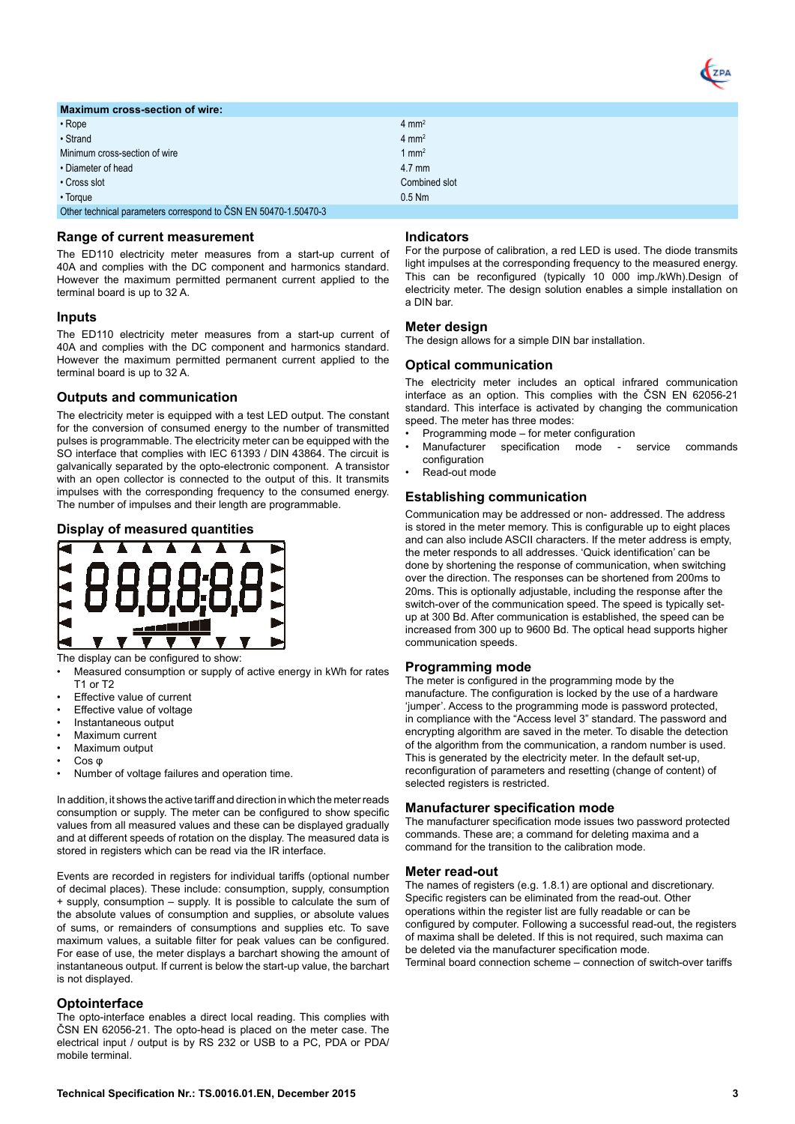

| <b>Maximum cross-section of wire:</b>                           |                  |
|-----------------------------------------------------------------|------------------|
| $\cdot$ Rope                                                    | $4 \text{ mm}^2$ |
| • Strand                                                        | $4 \text{ mm}^2$ |
| Minimum cross-section of wire                                   | 1 $mm2$          |
| • Diameter of head                                              | $4.7$ mm         |
| • Cross slot                                                    | Combined slot    |
| $\cdot$ Torque                                                  | $0.5$ Nm         |
| Other technical parameters correspond to CSN EN 50470-1.50470-3 |                  |

#### **Range of current measurement**

The ED110 electricity meter measures from a start-up current of 40A and complies with the DC component and harmonics standard. However the maximum permitted permanent current applied to the terminal board is up to 32 A.

## **Inputs**

The ED110 electricity meter measures from a start-up current of 40A and complies with the DC component and harmonics standard. However the maximum permitted permanent current applied to the terminal board is up to 32 A.

#### **Outputs and communication**

The electricity meter is equipped with a test LED output. The constant for the conversion of consumed energy to the number of transmitted pulses is programmable. The electricity meter can be equipped with the SO interface that complies with IEC 61393 / DIN 43864. The circuit is galvanically separated by the opto-electronic component. A transistor with an open collector is connected to the output of this. It transmits impulses with the corresponding frequency to the consumed energy. The number of impulses and their length are programmable.

## **Display of measured quantities**



The display can be configured to show:

- Measured consumption or supply of active energy in kWh for rates  $T1$  or  $T2$
- Effective value of current
- Effective value of voltage
- Instantaneous output
- Maximum current
- Maximum output
- Cos φ
- Number of voltage failures and operation time.

In addition, it shows the active tariff and direction in which the meter reads consumption or supply. The meter can be configured to show specific values from all measured values and these can be displayed gradually and at different speeds of rotation on the display. The measured data is stored in registers which can be read via the IR interface.

Events are recorded in registers for individual tariffs (optional number of decimal places). These include: consumption, supply, consumption + supply, consumption – supply. It is possible to calculate the sum of the absolute values of consumption and supplies, or absolute values of sums, or remainders of consumptions and supplies etc. To save maximum values, a suitable filter for peak values can be configured. For ease of use, the meter displays a barchart showing the amount of instantaneous output. If current is below the start-up value, the barchart is not displayed.

#### **Optointerface**

The opto-interface enables a direct local reading. This complies with ČSN EN 62056-21. The opto-head is placed on the meter case. The electrical input / output is by RS 232 or USB to a PC, PDA or PDA/ mobile terminal.

#### **Indicators**

For the purpose of calibration, a red LED is used. The diode transmits light impulses at the corresponding frequency to the measured energy. This can be reconfigured (typically 10 000 imp./kWh).Design of electricity meter. The design solution enables a simple installation on a DIN bar.

## **Meter design**

The design allows for a simple DIN bar installation.

## **Optical communication**

The electricity meter includes an optical infrared communication interface as an option. This complies with the ČSN EN 62056-21 standard. This interface is activated by changing the communication speed. The meter has three modes:

- Programming mode for meter configuration
- specification mode service commands configuration
- Read-out mode

#### **Establishing communication**

Communication may be addressed or non- addressed. The address is stored in the meter memory. This is configurable up to eight places and can also include ASCII characters. If the meter address is empty, the meter responds to all addresses. 'Quick identification' can be done by shortening the response of communication, when switching over the direction. The responses can be shortened from 200ms to 20ms. This is optionally adjustable, including the response after the switch-over of the communication speed. The speed is typically setup at 300 Bd. After communication is established, the speed can be increased from 300 up to 9600 Bd. The optical head supports higher communication speeds.

#### **Programming mode**

The meter is configured in the programming mode by the manufacture. The configuration is locked by the use of a hardware 'jumper'. Access to the programming mode is password protected, in compliance with the "Access level 3" standard. The password and encrypting algorithm are saved in the meter. To disable the detection of the algorithm from the communication, a random number is used. This is generated by the electricity meter. In the default set-up, reconfiguration of parameters and resetting (change of content) of selected registers is restricted.

#### **Manufacturer specification mode**

The manufacturer specification mode issues two password protected commands. These are; a command for deleting maxima and a command for the transition to the calibration mode.

#### **Meter read-out**

The names of registers (e.g. 1.8.1) are optional and discretionary. Specific registers can be eliminated from the read-out. Other operations within the register list are fully readable or can be configured by computer. Following a successful read-out, the registers of maxima shall be deleted. If this is not required, such maxima can be deleted via the manufacturer specification mode. Terminal board connection scheme – connection of switch-over tariffs